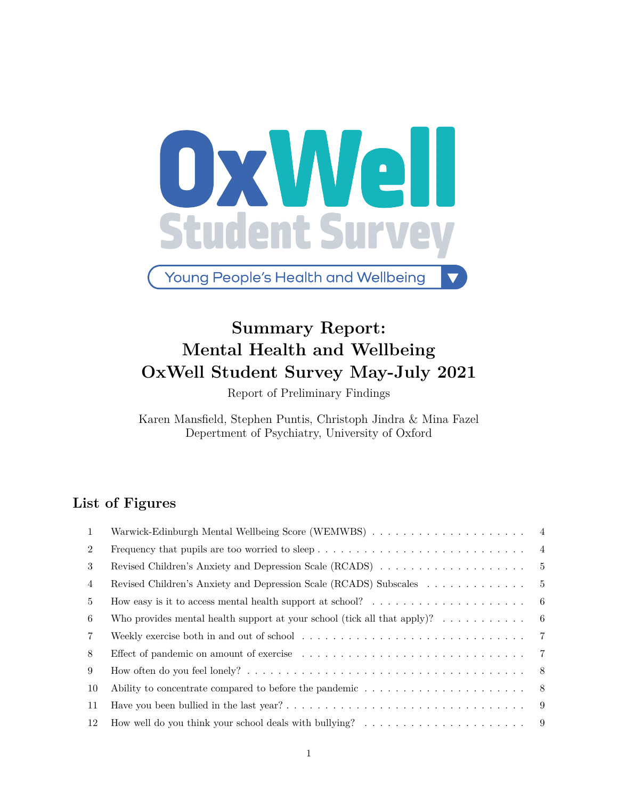

**Young People's Health and Wellbeing** 

# **Summary Report: Mental Health and Wellbeing OxWell Student Survey May-July 2021**

Report of Preliminary Findings

Karen Mansfield, Stephen Puntis, Christoph Jindra & Mina Fazel Depertment of Psychiatry, University of Oxford

### **List of Figures**

| -1             |                                                                                                                     | 4              |
|----------------|---------------------------------------------------------------------------------------------------------------------|----------------|
| $\overline{2}$ | Frequency that pupils are too worried to sleep                                                                      | $\overline{4}$ |
| 3              | Revised Children's Anxiety and Depression Scale (RCADS)                                                             | - 5            |
| 4              | Revised Children's Anxiety and Depression Scale (RCADS) Subscales                                                   | -5             |
| 5.             | How easy is it to access mental health support at school? $\dots \dots \dots \dots \dots \dots \dots$               | - 6            |
| 6              | Who provides mental health support at your school (tick all that apply)? $\dots \dots \dots$                        | - 6            |
| 7              | Weekly exercise both in and out of school $\dots \dots \dots \dots \dots \dots \dots \dots \dots \dots \dots \dots$ |                |
| 8              |                                                                                                                     |                |
| 9              |                                                                                                                     | - 8            |
| 10             | Ability to concentrate compared to before the pandemic $\dots \dots \dots \dots \dots \dots \dots$                  | - 8            |
| 11             |                                                                                                                     | - 9            |
| 12             |                                                                                                                     |                |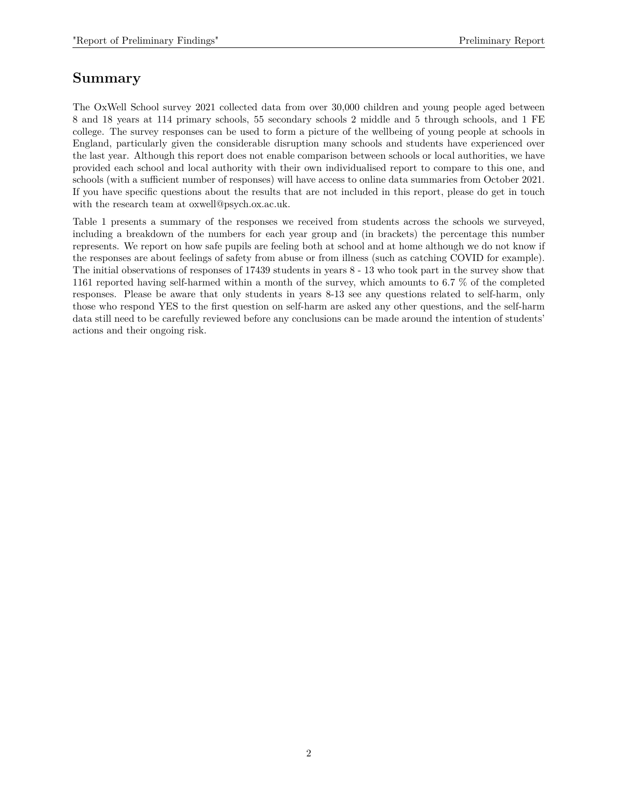### **Summary**

The OxWell School survey 2021 collected data from over 30,000 children and young people aged between 8 and 18 years at 114 primary schools, 55 secondary schools 2 middle and 5 through schools, and 1 FE college. The survey responses can be used to form a picture of the wellbeing of young people at schools in England, particularly given the considerable disruption many schools and students have experienced over the last year. Although this report does not enable comparison between schools or local authorities, we have provided each school and local authority with their own individualised report to compare to this one, and schools (with a sufficient number of responses) will have access to online data summaries from October 2021. If you have specific questions about the results that are not included in this report, please do get in touch with the research team at [oxwell@psych.ox.ac.uk.](mailto:oxwell@psych.ox.ac.uk)

Table 1 presents a summary of the responses we received from students across the schools we surveyed, including a breakdown of the numbers for each year group and (in brackets) the percentage this number represents. We report on how safe pupils are feeling both at school and at home although we do not know if the responses are about feelings of safety from abuse or from illness (such as catching COVID for example). The initial observations of responses of 17439 students in years 8 - 13 who took part in the survey show that 1161 reported having self-harmed within a month of the survey, which amounts to 6.7 % of the completed responses. Please be aware that only students in years 8-13 see any questions related to self-harm, only those who respond YES to the first question on self-harm are asked any other questions, and the self-harm data still need to be carefully reviewed before any conclusions can be made around the intention of students' actions and their ongoing risk.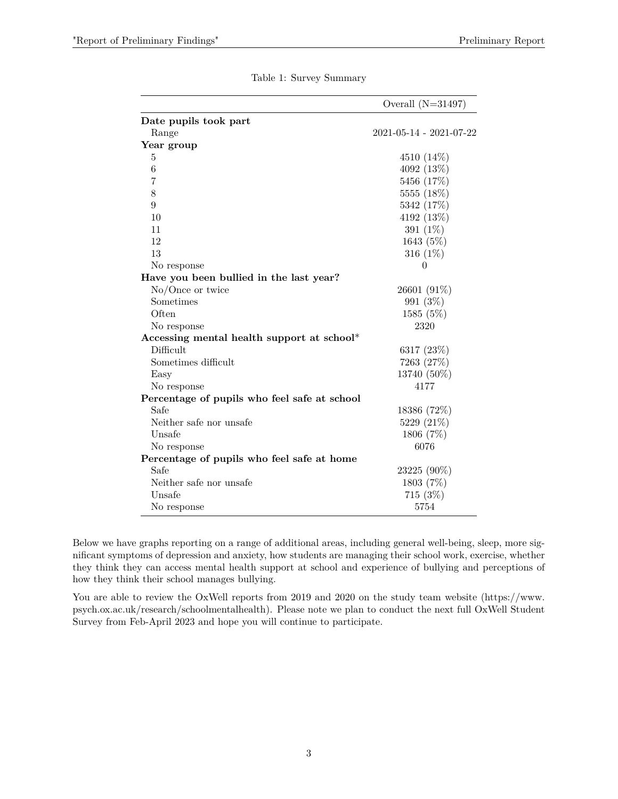|                                              | Overall $(N=31497)$               |
|----------------------------------------------|-----------------------------------|
| Date pupils took part                        |                                   |
| Range                                        | $2021 - 05 - 14 - 2021 - 07 - 22$ |
| Year group                                   |                                   |
| 5                                            | 4510 (14%)                        |
| 6                                            | 4092 (13%)                        |
| 7                                            | 5456 (17%)                        |
| 8                                            | 5555 (18%)                        |
| $\boldsymbol{9}$                             | 5342 (17%)                        |
| 10                                           | 4192 (13%)                        |
| 11                                           | 391 (1%)                          |
| 12                                           | 1643 (5%)                         |
| 13                                           | 316 $(1%)$                        |
| No response                                  | $\theta$                          |
| Have you been bullied in the last year?      |                                   |
| $No/O$ nce or twice                          | 26601 (91%)                       |
| Sometimes                                    | 991 (3%)                          |
| Often                                        | 1585 (5%)                         |
| No response                                  | 2320                              |
| Accessing mental health support at school*   |                                   |
| Difficult                                    | 6317 $(23%)$                      |
| Sometimes difficult                          | 7263 (27%)                        |
| Easy                                         | 13740 (50%)                       |
| No response                                  | 4177                              |
| Percentage of pupils who feel safe at school |                                   |
| Safe                                         | 18386 (72%)                       |
| Neither safe nor unsafe                      | 5229 (21\%)                       |
| Unsafe                                       | 1806 (7%)                         |
| No response                                  | 6076                              |
| Percentage of pupils who feel safe at home   |                                   |
| Safe                                         | 23225 (90%)                       |
| Neither safe nor unsafe                      | 1803 (7%)                         |
| Unsafe                                       | 715(3%)                           |
| No response                                  | 5754                              |

Below we have graphs reporting on a range of additional areas, including general well-being, sleep, more significant symptoms of depression and anxiety, how students are managing their school work, exercise, whether they think they can access mental health support at school and experience of bullying and perceptions of how they think their school manages bullying.

You are able to review the OxWell reports from 2019 and 2020 on the study team website [\(https://www.](https://www.psych.ox.ac.uk/research/schoolmentalhealth) [psych.ox.ac.uk/research/schoolmentalhealth\)](https://www.psych.ox.ac.uk/research/schoolmentalhealth). Please note we plan to conduct the next full OxWell Student Survey from Feb-April 2023 and hope you will continue to participate.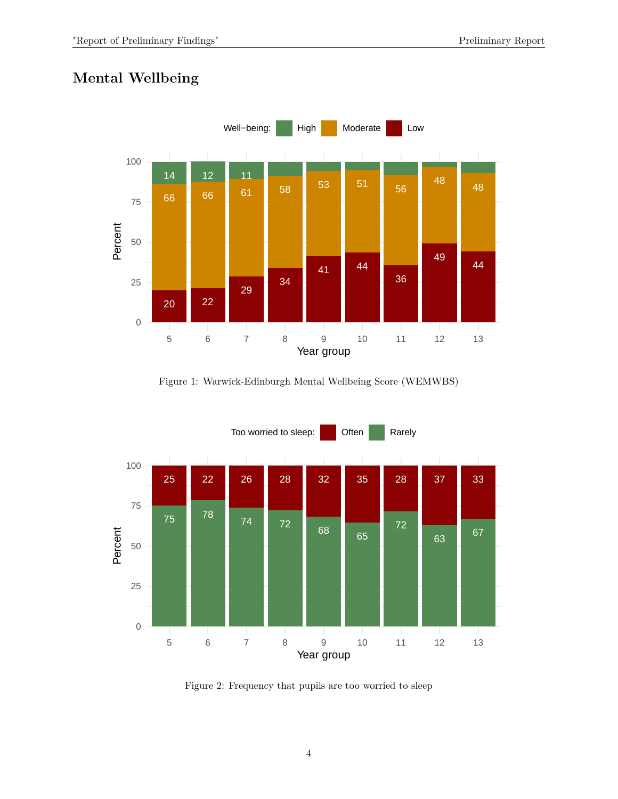# **Mental Wellbeing**



<span id="page-3-0"></span>Figure 1: Warwick-Edinburgh Mental Wellbeing Score (WEMWBS)



<span id="page-3-1"></span>Figure 2: Frequency that pupils are too worried to sleep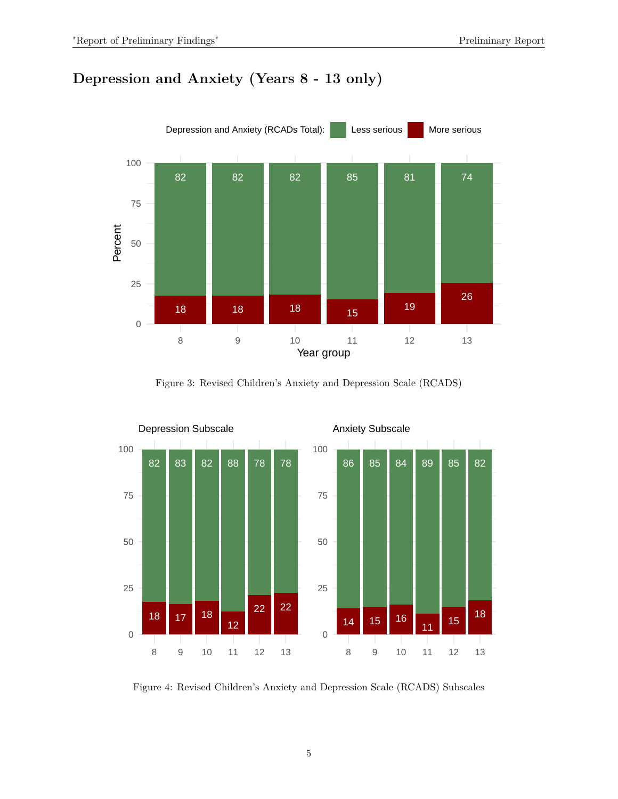# **Depression and Anxiety (Years 8 - 13 only)**



<span id="page-4-0"></span>Figure 3: Revised Children's Anxiety and Depression Scale (RCADS)



<span id="page-4-1"></span>Figure 4: Revised Children's Anxiety and Depression Scale (RCADS) Subscales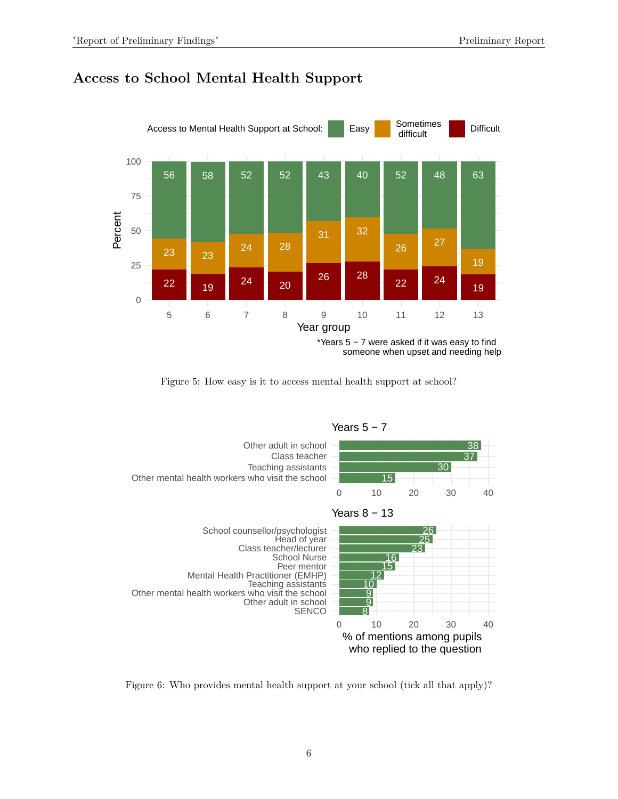



<span id="page-5-0"></span>



<span id="page-5-1"></span>Figure 6: Who provides mental health support at your school (tick all that apply)?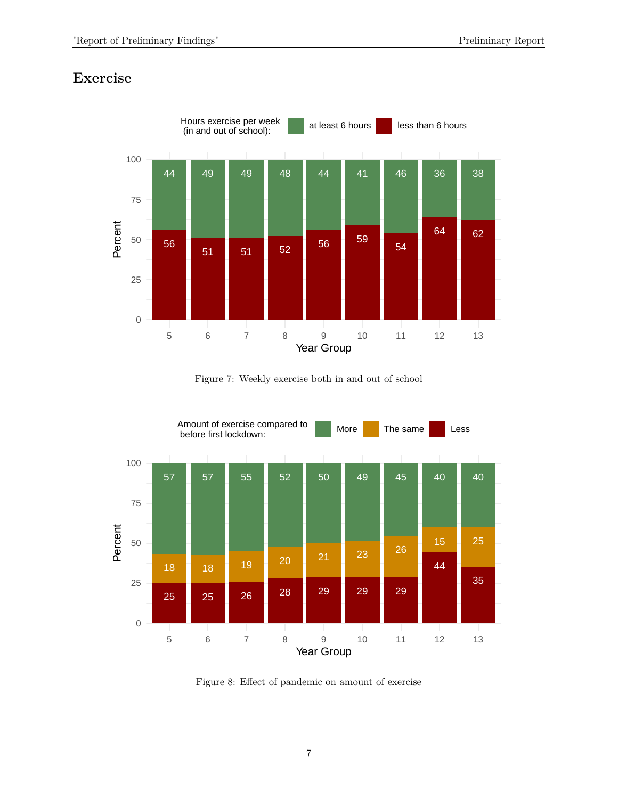# **Exercise**



<span id="page-6-0"></span>Figure 7: Weekly exercise both in and out of school



<span id="page-6-1"></span>Figure 8: Effect of pandemic on amount of exercise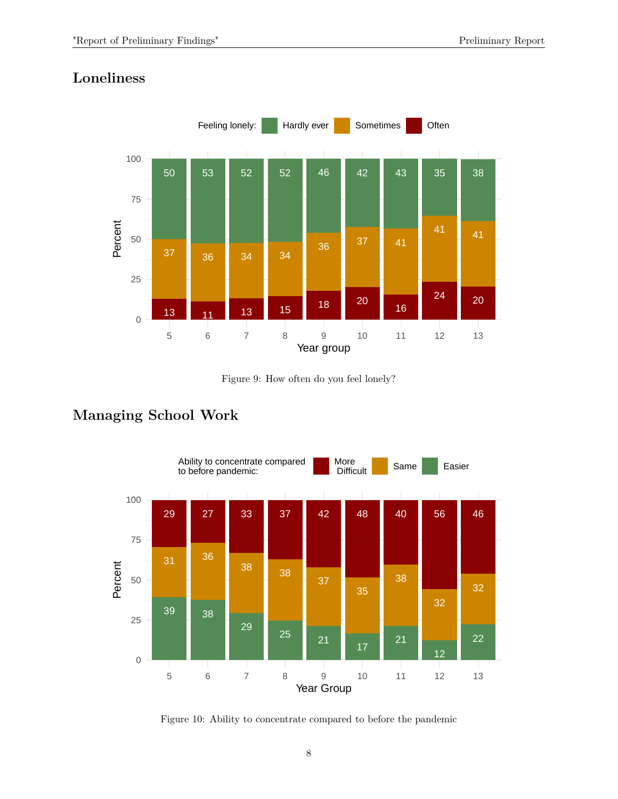# **Loneliness**



<span id="page-7-0"></span>Figure 9: How often do you feel lonely?

# **Managing School Work**



<span id="page-7-1"></span>Figure 10: Ability to concentrate compared to before the pandemic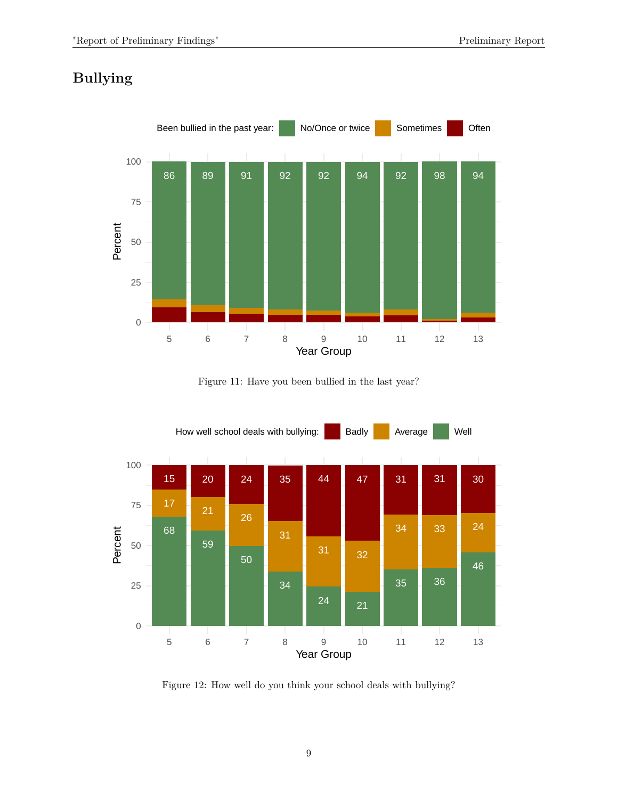# **Bullying**



<span id="page-8-0"></span>Figure 11: Have you been bullied in the last year?



<span id="page-8-1"></span>Figure 12: How well do you think your school deals with bullying?